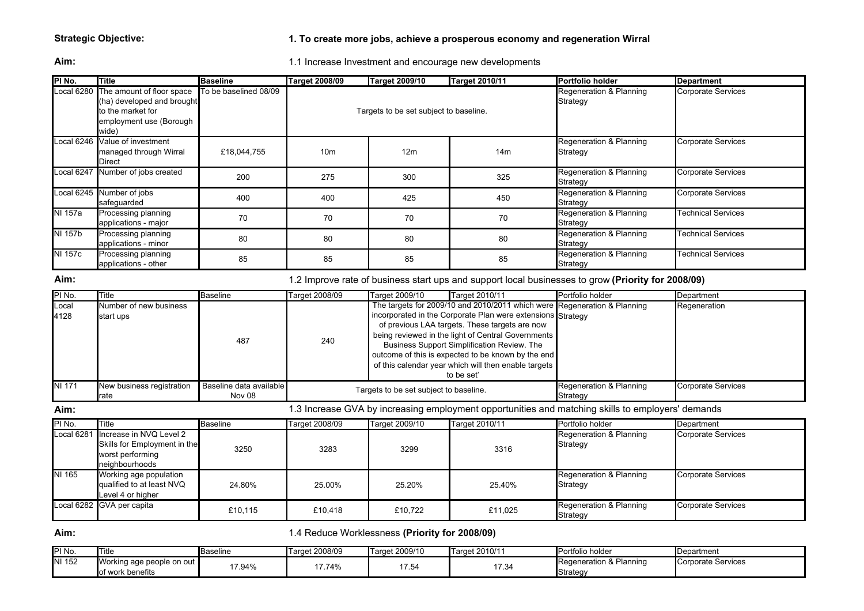### 1. To create more jobs, achieve a prosperous economy and regeneration Wirral

### Aim:

# 1.1 Increase Investment and encourage new developments

| PI No.             | <b>Title</b>                                                                                                               | <b>Baseline</b>                   | Target 2008/09  | <b>Target 2009/10</b>                  | Target 2010/11                                                                                                                                                                                                                                                                                                                                                                                                                    | Portfolio holder                                                                                   | <b>Department</b>         |
|--------------------|----------------------------------------------------------------------------------------------------------------------------|-----------------------------------|-----------------|----------------------------------------|-----------------------------------------------------------------------------------------------------------------------------------------------------------------------------------------------------------------------------------------------------------------------------------------------------------------------------------------------------------------------------------------------------------------------------------|----------------------------------------------------------------------------------------------------|---------------------------|
|                    | ocal 6280 The amount of floor space<br>(ha) developed and brought<br>to the market for<br>employment use (Borough<br>wide) | To be baselined 08/09             |                 | Targets to be set subject to baseline. |                                                                                                                                                                                                                                                                                                                                                                                                                                   |                                                                                                    | <b>Corporate Services</b> |
|                    | ocal 6246 Value of investment<br>managed through Wirral<br><b>Direct</b>                                                   | £18,044,755                       | 10 <sub>m</sub> | 12 <sub>m</sub>                        | 14 <sub>m</sub>                                                                                                                                                                                                                                                                                                                                                                                                                   | Regeneration & Planning<br>Strategy                                                                | <b>Corporate Services</b> |
| Local 6247         | Number of jobs created                                                                                                     | 200                               | 275             | 300                                    | 325                                                                                                                                                                                                                                                                                                                                                                                                                               | Regeneration & Planning<br>Strategy                                                                | <b>Corporate Services</b> |
|                    | ocal 6245 Number of jobs<br>safeguarded                                                                                    | 400                               | 400             | 425                                    | 450                                                                                                                                                                                                                                                                                                                                                                                                                               | Regeneration & Planning<br>Strategy                                                                | <b>Corporate Services</b> |
| NI 157a            | Processing planning<br>applications - major                                                                                | 70                                | 70              | 70                                     | 70                                                                                                                                                                                                                                                                                                                                                                                                                                | Regeneration & Planning<br>Strategy                                                                | <b>Technical Services</b> |
| NI 157b            | Processing planning<br>applications - minor                                                                                | 80                                | 80              | 80                                     | 80                                                                                                                                                                                                                                                                                                                                                                                                                                | Regeneration & Planning<br>Strategy                                                                | <b>Technical Services</b> |
| NI 157c            | Processing planning<br>applications - other                                                                                | 85                                | 85              | 85                                     | 85                                                                                                                                                                                                                                                                                                                                                                                                                                | Regeneration & Planning<br>Strategy                                                                | <b>Technical Services</b> |
| Aim:               |                                                                                                                            |                                   |                 |                                        |                                                                                                                                                                                                                                                                                                                                                                                                                                   | 1.2 Improve rate of business start ups and support local businesses to grow (Priority for 2008/09) |                           |
| PIN <sub>o</sub> . | Title                                                                                                                      | <b>Baseline</b>                   | Target 2008/09  | Target 2009/10                         | Target 2010/11                                                                                                                                                                                                                                                                                                                                                                                                                    | Portfolio holder                                                                                   | Department                |
| Local<br>4128      | Number of new business<br>start ups                                                                                        | 487                               | 240             |                                        | The targets for 2009/10 and 2010/2011 which were Regeneration & Planning<br>incorporated in the Corporate Plan were extensions Strategy<br>of previous LAA targets. These targets are now<br>being reviewed in the light of Central Governments<br><b>Business Support Simplification Review. The</b><br>outcome of this is expected to be known by the end<br>of this calendar year which will then enable targets<br>to be set' |                                                                                                    | Regeneration              |
| NI 171             | New business registration<br>rate                                                                                          | Baseline data available<br>Nov 08 |                 | Targets to be set subject to baseline. |                                                                                                                                                                                                                                                                                                                                                                                                                                   | Regeneration & Planning<br>Strategy                                                                | <b>Corporate Services</b> |
| Aim:               |                                                                                                                            |                                   |                 |                                        |                                                                                                                                                                                                                                                                                                                                                                                                                                   | 1.3 Increase GVA by increasing employment opportunities and matching skills to employers' demands  |                           |
| PIN <sub>o</sub> . | Title                                                                                                                      | <b>Baseline</b>                   | Target 2008/09  | Target 2009/10                         | Target 2010/11                                                                                                                                                                                                                                                                                                                                                                                                                    | Portfolio holder                                                                                   | Department                |
| Local 6281         | Increase in NVQ Level 2<br>Skills for Employment in the<br>worst performing<br>neighbourhoods                              | 3250                              | 3283            | 3299                                   | 3316                                                                                                                                                                                                                                                                                                                                                                                                                              | Regeneration & Planning<br>Strategy                                                                | <b>Corporate Services</b> |
| NI 165             | Working age population<br>qualified to at least NVQ<br>Level 4 or higher                                                   | 24.80%                            | 25.00%          | 25.20%                                 | 25.40%                                                                                                                                                                                                                                                                                                                                                                                                                            | Regeneration & Planning<br>Strategy                                                                | Corporate Services        |
|                    | Local 6282 GVA per capita                                                                                                  | $0.40 \pm 0.07$                   | 040.440         | 0.40700                                | 0.44005                                                                                                                                                                                                                                                                                                                                                                                                                           | Regeneration & Planning                                                                            | <b>Corporate Services</b> |

Aim:

1.4 Reduce Worklessness (Priority for 2008/09)

Local 6282 GVA per capita <br>
£10,115 £10,418 £10,722 £11,025 £11,025 Experiention & Planning

| PI No. |                                                | <b>Baseline</b> | Target 2008/09 | Target 2009/10 | let 2010/11<br>Targe <sup>®</sup> | Portfolio holder                                 | <b>I</b> Department       |
|--------|------------------------------------------------|-----------------|----------------|----------------|-----------------------------------|--------------------------------------------------|---------------------------|
| NI 152 | Working age people on out<br>lof work benefits | 17.94%          | 7.74%          | — سـ           | 470<br>1/34                       | Planning<br>Regeneration<br>$\alpha$<br>Strategy | `orporate Services<br>ישו |

**Strategy**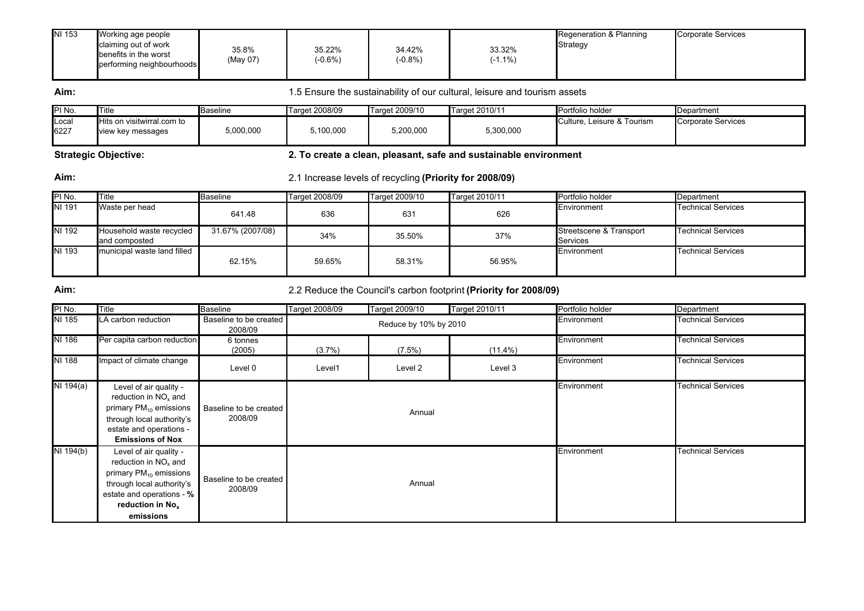| NI 153 | Working age people<br>claiming out of work<br>benefits in the worst<br>performing neighbourhoods | 35.8%<br>(May 07) | 35.22%<br>$-0.6%$ | 34.42%<br>$(-0.8%)$ | 33.32%<br>$-1.1\%$ | Regeneration & Planning<br>Strategy | <b>Corporate Services</b> |
|--------|--------------------------------------------------------------------------------------------------|-------------------|-------------------|---------------------|--------------------|-------------------------------------|---------------------------|
|--------|--------------------------------------------------------------------------------------------------|-------------------|-------------------|---------------------|--------------------|-------------------------------------|---------------------------|

# Aim: **Aim:** 1.5 Ensure the sustainability of our cultural, leisure and tourism assets

| PI No.        | Title                      | Baseline  | Target 2008/09 | Target 2009/10 | Target 2010/11 | Portfolio holder           | Department         |
|---------------|----------------------------|-----------|----------------|----------------|----------------|----------------------------|--------------------|
| Local<br>6227 | Hits on visitwirral.com to | 000,000,ذ | 0.100,000      | 5,200,000      | 5,300,000      | Culture. Leisure & Tourism | Corporate Services |
|               | view key messages          |           |                |                |                |                            |                    |

### Strategic Objective:

### 2. To create a clean, pleasant, safe and sustainable environment

Aim:

# 2.1 Increase levels of recycling (Priority for 2008/09)

| PI No. | Title                                     | Baseline         | Target 2008/09 | Target 2009/10 | Target 2010/11 | Portfolio holder                           | Department                |
|--------|-------------------------------------------|------------------|----------------|----------------|----------------|--------------------------------------------|---------------------------|
| NI 191 | Waste per head                            | 641.48           | 636            | 631            | 626            | Environment                                | <b>Technical Services</b> |
| NI 192 | Household waste recycled<br>and composted | 31.67% (2007/08) | 34%            | 35.50%         | 37%            | Streetscene & Transport<br><b>Services</b> | <b>Technical Services</b> |
| NI 193 | municipal waste land filled               | 62.15%           | 59.65%         | 58.31%         | 56.95%         | Environment                                | <b>Technical Services</b> |

Aim:

# 2.2 Reduce the Council's carbon footprint (Priority for 2008/09)

| PI No.      | Title                                                                                                                                                                             | <b>Baseline</b>                   | Target 2008/09 | Target 2009/10        | Target 2010/11 | Portfolio holder | Department                |
|-------------|-----------------------------------------------------------------------------------------------------------------------------------------------------------------------------------|-----------------------------------|----------------|-----------------------|----------------|------------------|---------------------------|
| NI 185      | LA carbon reduction                                                                                                                                                               | Baseline to be created<br>2008/09 |                | Reduce by 10% by 2010 |                | Environment      | <b>Technical Services</b> |
| NI 186      | Per capita carbon reduction                                                                                                                                                       | 6 tonnes<br>(2005)                | $(3.7\%)$      | $(7.5\%)$             | $(11.4\%)$     | Environment      | <b>Technical Services</b> |
| NI 188      | Impact of climate change                                                                                                                                                          | Level 0                           | Level1         | Level 2               | Level 3        | Environment      | <b>Technical Services</b> |
| NI $194(a)$ | Level of air quality -<br>reduction in $NOx$ and<br>primary $PM_{10}$ emissions<br>through local authority's<br>estate and operations -<br><b>Emissions of Nox</b>                | Baseline to be created<br>2008/09 |                | Annual                |                | Environment      | <b>Technical Services</b> |
| NI 194(b)   | Level of air quality -<br>reduction in $NOx$ and<br>primary PM <sub>10</sub> emissions<br>through local authority's<br>estate and operations - %<br>reduction in No.<br>emissions | Baseline to be created<br>2008/09 |                | Annual                |                | Environment      | <b>Technical Services</b> |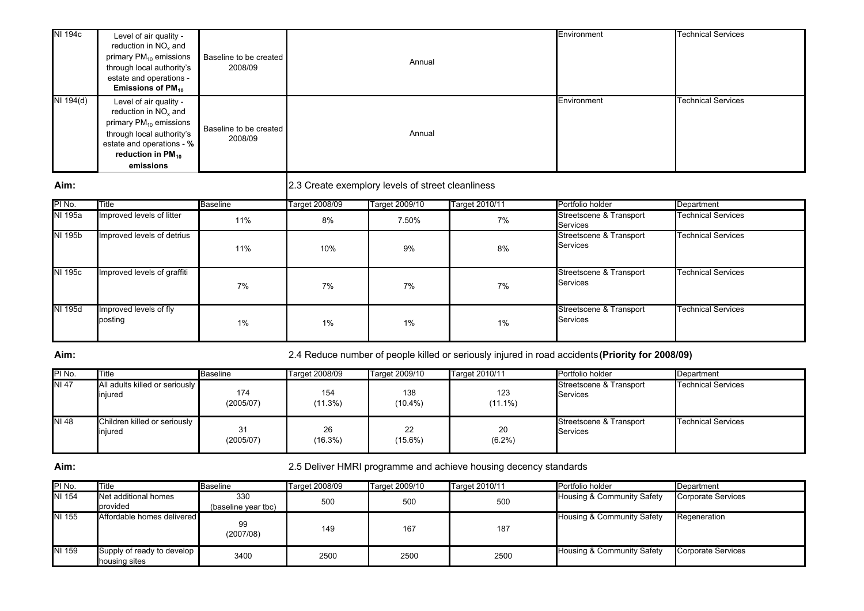| NI 194c   | Level of air quality -<br>reduction in $NOx$ and<br>primary PM <sub>10</sub> emissions<br>through local authority's<br>estate and operations -<br>Emissions of $PM_{10}$                                 | Baseline to be created<br>2008/09 | Annual | Environment | <b>Technical Services</b> |
|-----------|----------------------------------------------------------------------------------------------------------------------------------------------------------------------------------------------------------|-----------------------------------|--------|-------------|---------------------------|
| NI 194(d) | Level of air quality -<br>reduction in NO <sub>v</sub> and<br>primary PM <sub>10</sub> emissions<br>through local authority's<br>estate and operations - %<br>reduction in PM <sub>10</sub><br>emissions | Baseline to be created<br>2008/09 | Annual | Environment | <b>Technical Services</b> |

# Aim: 2.3 Create exemplory levels of street cleanliness

| PI No.  | Title                             | <b>Baseline</b> | Target 2008/09 | Target 2009/10 | Target 2010/11 | Portfolio holder                           | Department                |
|---------|-----------------------------------|-----------------|----------------|----------------|----------------|--------------------------------------------|---------------------------|
| NI 195a | Improved levels of litter         | 11%             | 8%             | 7.50%          | 7%             | Streetscene & Transport<br><b>Services</b> | <b>Technical Services</b> |
| NI 195b | Improved levels of detrius        | 11%             | 10%            | 9%             | 8%             | Streetscene & Transport<br><b>Services</b> | <b>Technical Services</b> |
| NI 195c | Improved levels of graffiti       | 7%              | 7%             | 7%             | 7%             | Streetscene & Transport<br><b>Services</b> | <b>Technical Services</b> |
| NI 195d | Improved levels of fly<br>posting | 1%              | 1%             | 1%             | 1%             | Streetscene & Transport<br>Services        | <b>Technical Services</b> |

# Aim: 2.4 Reduce number of people killed or seriously injured in road accidents (Priority for 2008/09)

| IPI No.      | Title                                     | Baseline         | Target 2008/09    | Target 2009/10    | Target 2010/11    | Portfolio holder                    | Department                |
|--------------|-------------------------------------------|------------------|-------------------|-------------------|-------------------|-------------------------------------|---------------------------|
| NI 47        | All adults killed or seriously<br>injured | 174<br>(2005/07) | 154<br>$(11.3\%)$ | 138<br>$(10.4\%)$ | 123<br>$(11.1\%)$ | Streetscene & Transport<br>Services | <b>Technical Services</b> |
| <b>NI 48</b> | Children killed or seriously<br>injured   | 31<br>(2005/07)  | 26<br>$(16.3\%)$  | 22<br>(15.6%)     | 20<br>$(6.2\%)$   | Streetscene & Transport<br>Services | Technical Services        |

Aim:

# 2.5 Deliver HMRI programme and achieve housing decency standards

| IPI No. | Title                                       | <b>Baseline</b>     | Target 2008/09 | Target 2009/10 | Target 2010/11 | Portfolio holder           | Department                |
|---------|---------------------------------------------|---------------------|----------------|----------------|----------------|----------------------------|---------------------------|
| NI 154  | Net additional homes<br>provided            | 330                 | 500            | 500            | 500            | Housing & Community Safety | <b>Corporate Services</b> |
|         |                                             | (baseline year tbc) |                |                |                |                            |                           |
| NI 155  | Affordable homes delivered                  | 99<br>(2007/08)     | 149            | 167            | 187            | Housing & Community Safety | Regeneration              |
| NI 159  | Supply of ready to develop<br>housing sites | 3400                | 2500           | 2500           | 2500           | Housing & Community Safety | Corporate Services        |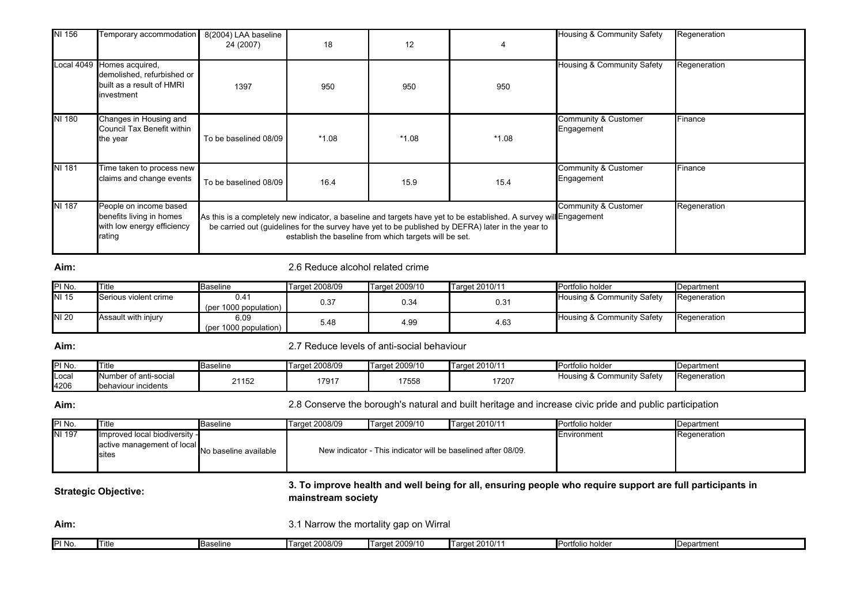| NI 156 | Temporary accommodation                                                                             | 8(2004) LAA baseline<br>24 (2007) | 18      | 12                                                     |                                                                                                                                                                                                                         | Housing & Community Safety                    | Regeneration |
|--------|-----------------------------------------------------------------------------------------------------|-----------------------------------|---------|--------------------------------------------------------|-------------------------------------------------------------------------------------------------------------------------------------------------------------------------------------------------------------------------|-----------------------------------------------|--------------|
|        | Local 4049 Homes acquired,<br>demolished, refurbished or<br>built as a result of HMRI<br>investment | 1397                              | 950     | 950                                                    | 950                                                                                                                                                                                                                     | Housing & Community Safety                    | Regeneration |
| NI 180 | Changes in Housing and<br>Council Tax Benefit within<br>the year                                    | To be baselined 08/09             | $*1.08$ | $*1.08$                                                | $*1.08$                                                                                                                                                                                                                 | Community & Customer<br>Engagement            | Finance      |
| NI 181 | Time taken to process new<br>claims and change events                                               | To be baselined 08/09             | 16.4    | 15.9                                                   | 15.4                                                                                                                                                                                                                    | <b>Community &amp; Customer</b><br>Engagement | Finance      |
| NI 187 | People on income based<br>benefits living in homes<br>with low energy efficiency<br>rating          |                                   |         | establish the baseline from which targets will be set. | As this is a completely new indicator, a baseline and targets have yet to be established. A survey will Engagement<br>be carried out (guidelines for the survey have yet to be published by DEFRA) later in the year to | Community & Customer                          | Regeneration |

Aim:

### 2.6 Reduce alcohol related crime

| IPI No.      | Title                 | <b>Baseline</b>               | Target 2008/09 | Target 2009/10 | Target 2010/11 | Portfolio holder           | Department   |
|--------------|-----------------------|-------------------------------|----------------|----------------|----------------|----------------------------|--------------|
| <b>NI 15</b> | Serious violent crime | 0.4<br>(per 1000 population)  | 0.37           | 0.34           | 0.31           | Housing & Community Safety | Regeneration |
| NI 20        | Assault with injury   | 6.09<br>(per 1000 population) | 5.48           | 4.99           | 4.63           | Housing & Community Safety | Regeneration |

Aim: 2.7 Reduce levels of anti-social behaviour

| PI No. | <b>Title</b>                 | <b>Baseline</b> | Target 2008/09 | Target 2009/10 | Target 2010/11 | Portfolio holder           | Department   |
|--------|------------------------------|-----------------|----------------|----------------|----------------|----------------------------|--------------|
| Loca   | . .<br>Number of anti-social | 21152           |                | 17558          | 17207          | Housing & Community Safety | Regeneration |
| 4206   | behaviour incidents          |                 | 7917           |                |                |                            |              |

Aim:

2.8 Conserve the borough's natural and built heritage and increase civic pride and public participation

| IPI No. | Title                                                                         | <b>Baseline</b>       | Target 2008/09 | Target 2009/10                                                | Target 2010/11 | Portfolio holder | <b>I</b> Department |
|---------|-------------------------------------------------------------------------------|-----------------------|----------------|---------------------------------------------------------------|----------------|------------------|---------------------|
| NI 197  | Improved local biodiversity -<br>active management of local<br><b>I</b> sites | No baseline available |                | New indicator - This indicator will be baselined after 08/09. |                | Environment      | Regeneration        |

Strategic Objective: 3. To improve health and well being for all, ensuring people who require support are full participants in mainstream society

Aim: 3.1 Narrow the mortality gap on Wirral

| IPI No. | .<br>Title | Baseline | 2008/09 ،<br>Targe | 200/10<br>000 U | i 2010/1<br>$\sim$<br>l di | l Portfolio.<br>holder | าฯrtment<br>הו<br>।∪੮ |
|---------|------------|----------|--------------------|-----------------|----------------------------|------------------------|-----------------------|
|         |            |          |                    |                 |                            |                        |                       |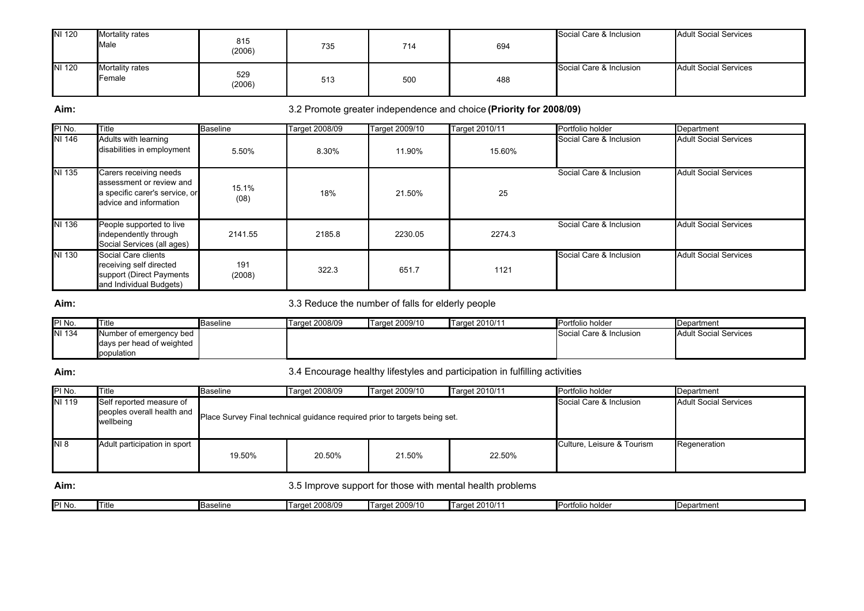| NI 120 | Mortality rates<br>Male   | 815<br>(2006) | 735 | 714 | 694 | Social Care & Inclusion | <b>Adult Social Services</b> |
|--------|---------------------------|---------------|-----|-----|-----|-------------------------|------------------------------|
| NI 120 | Mortality rates<br>Female | 529<br>(2006) | 513 | 500 | 488 | Social Care & Inclusion | <b>Adult Social Services</b> |

# Aim: **Aim:** 3.2 Promote greater independence and choice (Priority for 2008/09)

| PI No. | Title                                                                                                          | <b>Baseline</b> | Target 2008/09 | Target 2009/10 | Target 2010/11 | Portfolio holder        | Department                   |
|--------|----------------------------------------------------------------------------------------------------------------|-----------------|----------------|----------------|----------------|-------------------------|------------------------------|
| NI 146 | Adults with learning<br>disabilities in employment                                                             | 5.50%           | 8.30%          | 11.90%         | 15.60%         | Social Care & Inclusion | <b>Adult Social Services</b> |
| NI 135 | Carers receiving needs<br>assessment or review and<br>a specific carer's service, or<br>advice and information | 15.1%<br>(08)   | 18%            | 21.50%         | 25             | Social Care & Inclusion | <b>Adult Social Services</b> |
| NI 136 | People supported to live<br>independently through<br>Social Services (all ages)                                | 2141.55         | 2185.8         | 2230.05        | 2274.3         | Social Care & Inclusion | <b>Adult Social Services</b> |
| NI 130 | Social Care clients<br>receiving self directed<br>support (Direct Payments<br>and Individual Budgets)          | 191<br>(2008)   | 322.3          | 651.7          | 1121           | Social Care & Inclusion | <b>Adult Social Services</b> |

### Aim:

### 3.3 Reduce the number of falls for elderly people

| PI No. | <b>Title</b>              | Baseline | Target 2008/09 | Target 2009/10 | Target 2010/11 | Portfolio holder        | Department            |
|--------|---------------------------|----------|----------------|----------------|----------------|-------------------------|-----------------------|
| NI 134 | Number of emergency bed   |          |                |                |                | Social Care & Inclusion | Adult Social Services |
|        | days per head of weighted |          |                |                |                |                         |                       |
|        | population                |          |                |                |                |                         |                       |

## Aim: **Alterative and Alternative State and Alternative State and participation in fulfilling activities**

| PI No.          | <b>Title</b>                                                        | <b>Baseline</b>                                                            | Target 2008/09 | Target 2009/10 | Target 2010/11          | Portfolio holder             | Department   |
|-----------------|---------------------------------------------------------------------|----------------------------------------------------------------------------|----------------|----------------|-------------------------|------------------------------|--------------|
| NI 119          | Self reported measure of<br>peoples overall health and<br>wellbeing | Place Survey Final technical guidance required prior to targets being set. |                |                | Social Care & Inclusion | <b>Adult Social Services</b> |              |
| N <sub>18</sub> | Adult participation in sport                                        | 19.50%                                                                     | 20.50%         | 21.50%         | 22.50%                  | Culture, Leisure & Tourism   | Regeneration |

# Aim: **Aim:** 3.5 Improve support for those with mental health problems

| IDI NA<br>INO. | l itle | . .<br><b>Macalina</b><br>סווווספ | 2008/09<br>arge' | 2009/10<br>I arget | --<br>. 2010/1<br>. orne<br>.<br>. | holder<br>ப∽<br>πτοιιο | oartmen |
|----------------|--------|-----------------------------------|------------------|--------------------|------------------------------------|------------------------|---------|
|                |        |                                   |                  |                    |                                    |                        |         |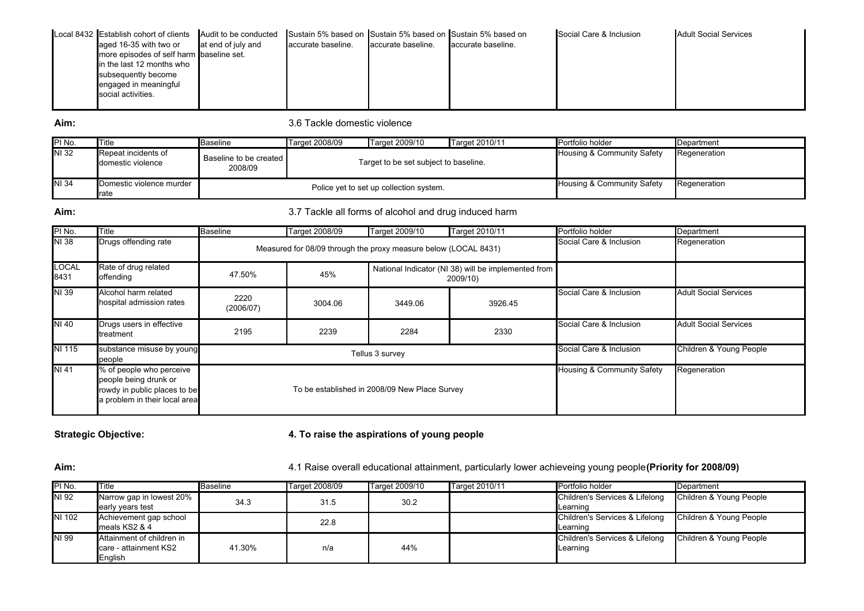| Local 8432 Establish cohort of clients   | Audit to be conducted | Sustain 5% based on Sustain 5% based on Sustain 5% based on |                    |                     | Social Care & Inclusion | <b>Adult Social Services</b> |
|------------------------------------------|-----------------------|-------------------------------------------------------------|--------------------|---------------------|-------------------------|------------------------------|
| aged 16-35 with two or                   | at end of july and    | accurate baseline.                                          | accurate baseline. | laccurate baseline. |                         |                              |
| more episodes of self harm baseline set. |                       |                                                             |                    |                     |                         |                              |
| in the last 12 months who                |                       |                                                             |                    |                     |                         |                              |
| subsequently become                      |                       |                                                             |                    |                     |                         |                              |
| engaged in meaningful                    |                       |                                                             |                    |                     |                         |                              |
| social activities.                       |                       |                                                             |                    |                     |                         |                              |
|                                          |                       |                                                             |                    |                     |                         |                              |

### Aim: 2.6 Tackle domestic violence

| IPI No.      | Title                                    | <b>Baseline</b>                   | Target 2008/09 | Target 2009/10                          | <b>Target 2010/11</b> | Portfolio holder           | <b>IDepartment</b> |
|--------------|------------------------------------------|-----------------------------------|----------------|-----------------------------------------|-----------------------|----------------------------|--------------------|
| <b>NI 32</b> | Repeat incidents of<br>domestic violence | Baseline to be created<br>2008/09 |                | Target to be set subject to baseline.   |                       | Housing & Community Safety | Regeneration       |
| NI 34        | Domestic violence murder<br>rate         |                                   |                | Police yet to set up collection system. |                       | Housing & Community Safety | Regeneration       |

# Aim: **Aim:** 3.7 Tackle all forms of alcohol and drug induced harm

| PI No.               | Title                                                                                                              | <b>Baseline</b>   | Target 2008/09                                                  | Target 2009/10                                | Target 2010/11                                                  | Portfolio holder        | Department                   |
|----------------------|--------------------------------------------------------------------------------------------------------------------|-------------------|-----------------------------------------------------------------|-----------------------------------------------|-----------------------------------------------------------------|-------------------------|------------------------------|
| NI 38                | Drugs offending rate                                                                                               |                   | Measured for 08/09 through the proxy measure below (LOCAL 8431) |                                               | Social Care & Inclusion                                         | Regeneration            |                              |
| <b>LOCAL</b><br>8431 | Rate of drug related<br>offending                                                                                  | 47.50%            | 45%                                                             |                                               | National Indicator (NI 38) will be implemented from<br>2009/10) |                         |                              |
| NI 39                | Alcohol harm related<br>hospital admission rates                                                                   | 2220<br>(2006/07) | 3004.06                                                         | 3449.06                                       | 3926.45                                                         | Social Care & Inclusion | <b>Adult Social Services</b> |
| NI 40                | Drugs users in effective<br>treatment                                                                              | 2195              | 2239                                                            | 2284                                          | 2330                                                            | Social Care & Inclusion | <b>Adult Social Services</b> |
| NI 115               | substance misuse by young<br>people                                                                                |                   |                                                                 | Tellus 3 survey                               |                                                                 | Social Care & Inclusion | Children & Young People      |
| NI 41                | % of people who perceive<br>people being drunk or<br>rowdy in public places to be<br>a problem in their local area |                   |                                                                 | To be established in 2008/09 New Place Survey | Housing & Community Safety                                      | Regeneration            |                              |

# Strategic Objective:  $\begin{array}{c} 4. \text{ To raise the aspirations of young people} \\ 4. \text{ To raise the aspirations of young people} \end{array}$

Aim:

# 4.1 Raise overall educational attainment, particularly lower achieveing young people (Priority for 2008/09)

| PI No. | Title                     | Baseline | Target 2008/09 | Target 2009/10 | Target 2010/11 | Portfolio holder               | Department              |
|--------|---------------------------|----------|----------------|----------------|----------------|--------------------------------|-------------------------|
| NI 92  | Narrow gap in lowest 20%  | 34.3     | 31.5           | 30.2           |                | Children's Services & Lifelong | Children & Young People |
|        | early years test          |          |                |                |                | Learning                       |                         |
| NI 102 | Achievement gap school    |          | 22.8           |                |                | Children's Services & Lifelong | Children & Young People |
|        | meals $KS2$ & 4           |          |                |                |                | Learning                       |                         |
| NI 99  | Attainment of children in |          |                |                |                | Children's Services & Lifelong | Children & Young People |
|        | care - attainment KS2     | 41.30%   | n/a            | 44%            |                | Learning                       |                         |
|        | English                   |          |                |                |                |                                |                         |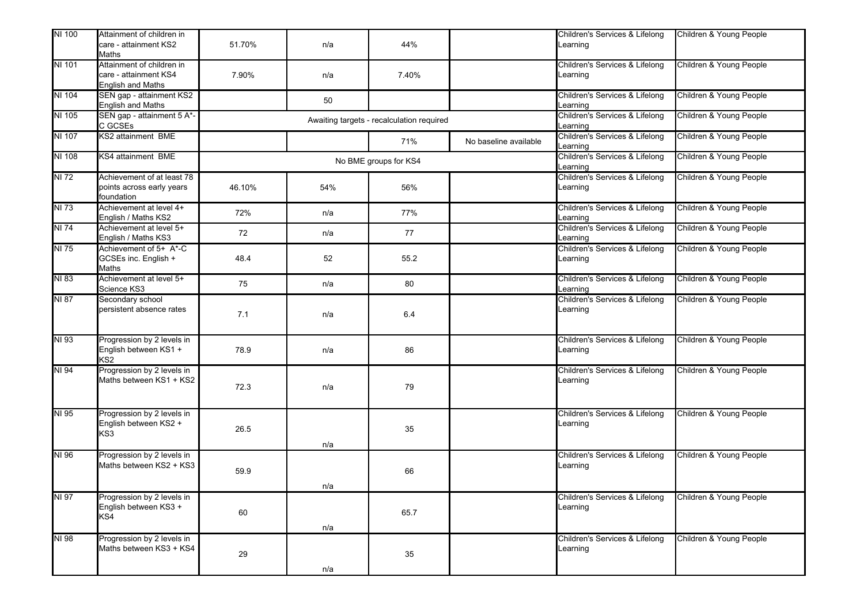| NI 100       | Attainment of children in                             |        |     |                                           |                       | Children's Services & Lifelong             | Children & Young People |
|--------------|-------------------------------------------------------|--------|-----|-------------------------------------------|-----------------------|--------------------------------------------|-------------------------|
|              | care - attainment KS2                                 | 51.70% | n/a | 44%                                       |                       | Learning                                   |                         |
|              | Maths                                                 |        |     |                                           |                       |                                            |                         |
| NI 101       | Attainment of children in                             |        |     |                                           |                       | Children's Services & Lifelong             | Children & Young People |
|              | care - attainment KS4                                 | 7.90%  | n/a | 7.40%                                     |                       | Learning                                   |                         |
|              | English and Maths                                     |        |     |                                           |                       |                                            |                         |
| NI 104       | SEN gap - attainment KS2                              |        | 50  |                                           |                       | Children's Services & Lifelong             | Children & Young People |
|              | <b>English and Maths</b>                              |        |     |                                           |                       | Learning                                   |                         |
| NI 105       | SEN gap - attainment 5 A*-                            |        |     | Awaiting targets - recalculation required |                       | Children's Services & Lifelong             | Children & Young People |
|              | C GCSEs                                               |        |     |                                           |                       | Learning                                   |                         |
| NI 107       | KS2 attainment BME                                    |        |     | 71%                                       | No baseline available | Children's Services & Lifelong             | Children & Young People |
|              |                                                       |        |     |                                           |                       | Learning                                   |                         |
| NI 108       | <b>KS4 attainment BME</b>                             |        |     | No BME groups for KS4                     |                       | Children's Services & Lifelong<br>Learning | Children & Young People |
| <b>NI 72</b> | Achievement of at least 78                            |        |     |                                           |                       | Children's Services & Lifelong             | Children & Young People |
|              | points across early years                             | 46.10% | 54% | 56%                                       |                       | Learning                                   |                         |
|              | foundation                                            |        |     |                                           |                       |                                            |                         |
| NI 73        | Achievement at level 4+                               |        |     |                                           |                       | Children's Services & Lifelong             | Children & Young People |
|              | English / Maths KS2                                   | 72%    | n/a | 77%                                       |                       | Learning                                   |                         |
| NI 74        | Achievement at level 5+                               |        |     |                                           |                       | Children's Services & Lifelong             | Children & Young People |
|              | English / Maths KS3                                   | 72     | n/a | 77                                        |                       | earning                                    |                         |
| NI 75        | Achievement of 5+ A*-C                                |        |     |                                           |                       | Children's Services & Lifelong             | Children & Young People |
|              | GCSEs inc. English +                                  | 48.4   | 52  | 55.2                                      |                       | Learning                                   |                         |
|              | Maths                                                 |        |     |                                           |                       |                                            |                         |
| NI 83        | Achievement at level 5+                               | 75     |     | 80                                        |                       | Children's Services & Lifelong             | Children & Young People |
|              | Science KS3                                           |        | n/a |                                           |                       | Learning                                   |                         |
| <b>NI 87</b> | Secondary school                                      |        |     |                                           |                       | Children's Services & Lifelong             | Children & Young People |
|              | persistent absence rates                              | 7.1    | n/a | 6.4                                       |                       | Learning                                   |                         |
|              |                                                       |        |     |                                           |                       |                                            |                         |
|              |                                                       |        |     |                                           |                       |                                            |                         |
| NI 93        | Progression by 2 levels in                            |        |     |                                           |                       | Children's Services & Lifelong             | Children & Young People |
|              | English between KS1 +                                 | 78.9   | n/a | 86                                        |                       | Learning                                   |                         |
|              | KS <sub>2</sub>                                       |        |     |                                           |                       |                                            |                         |
| NI 94        | Progression by 2 levels in<br>Maths between KS1 + KS2 |        |     |                                           |                       | Children's Services & Lifelong             | Children & Young People |
|              |                                                       | 72.3   | n/a | 79                                        |                       | Learning                                   |                         |
|              |                                                       |        |     |                                           |                       |                                            |                         |
|              |                                                       |        |     |                                           |                       |                                            |                         |
| NI 95        | Progression by 2 levels in                            |        |     |                                           |                       | Children's Services & Lifelong             | Children & Young People |
|              | English between KS2 +                                 | 26.5   |     | 35                                        |                       | Learning                                   |                         |
|              | KS3                                                   |        |     |                                           |                       |                                            |                         |
| NI 96        |                                                       |        | n/a |                                           |                       | Children's Services & Lifelong             | Children & Young People |
|              | Progression by 2 levels in<br>Maths between KS2 + KS3 |        |     |                                           |                       | Learning                                   |                         |
|              |                                                       | 59.9   |     | 66                                        |                       |                                            |                         |
|              |                                                       |        | n/a |                                           |                       |                                            |                         |
| NI 97        | Progression by 2 levels in                            |        |     |                                           |                       | Children's Services & Lifelong             | Children & Young People |
|              | English between KS3 +                                 |        |     |                                           |                       | Learning                                   |                         |
|              | KS4                                                   | 60     |     | 65.7                                      |                       |                                            |                         |
|              |                                                       |        | n/a |                                           |                       |                                            |                         |
| NI 98        | Progression by 2 levels in                            |        |     |                                           |                       | Children's Services & Lifelong             | Children & Young People |
|              | Maths between KS3 + KS4                               |        |     |                                           |                       | Learning                                   |                         |
|              |                                                       | 29     |     | 35                                        |                       |                                            |                         |
|              |                                                       |        | n/a |                                           |                       |                                            |                         |
|              |                                                       |        |     |                                           |                       |                                            |                         |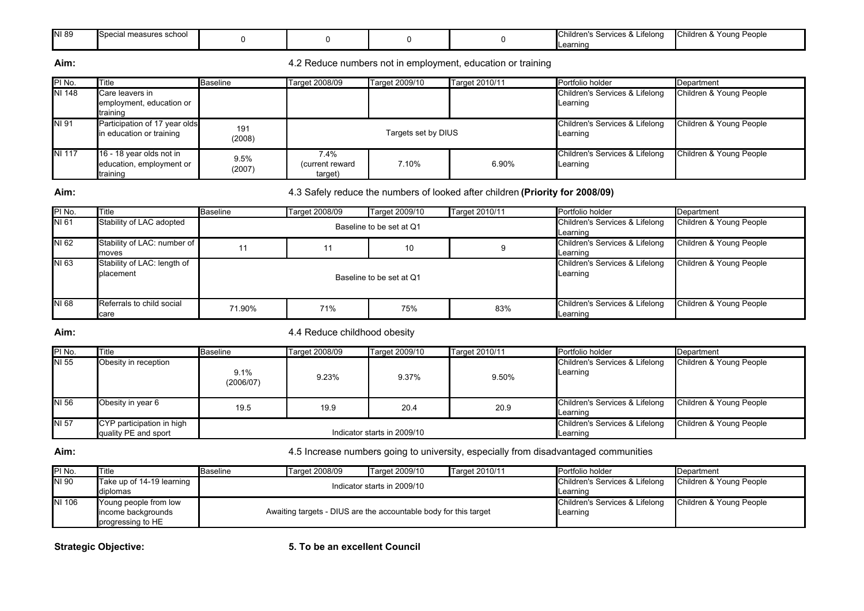| NI 89 | pecial measures school |  |  | $\overline{\phantom{a}}$<br>ces & Lifelona<br>Services<br>.earning<br>i∟cai ' | `Young ,<br>$\sim$<br>า People<br>TChildren & |
|-------|------------------------|--|--|-------------------------------------------------------------------------------|-----------------------------------------------|
|       |                        |  |  |                                                                               |                                               |

### Aim: **Alterative 2018** 4.2 Reduce numbers not in employment, education or training

| IPI No.       | Title                                                            | Baseline       | Target 2008/09                        | Target 2009/10 | Target 2010/11 | Portfolio holder                           | Department              |
|---------------|------------------------------------------------------------------|----------------|---------------------------------------|----------------|----------------|--------------------------------------------|-------------------------|
| NI 148        | Care leavers in                                                  |                |                                       |                |                | Children's Services & Lifelong             | Children & Young People |
|               | employment, education or                                         |                |                                       |                |                | Learning                                   |                         |
|               | training                                                         |                |                                       |                |                |                                            |                         |
| <b>INI 91</b> | Participation of 17 year olds<br>in education or training        | 191<br>(2008)  | Targets set by DIUS                   |                |                | Children's Services & Lifelong<br>Learning | Children & Young People |
| NI 117        | 16 - 18 year olds not in<br>education, employment or<br>training | 9.5%<br>(2007) | $7.4\%$<br>(current reward<br>target) | 7.10%          | 6.90%          | Children's Services & Lifelong<br>Learning | Children & Young People |

## Aim: **Aim:** 4.3 Safely reduce the numbers of looked after children (Priority for 2008/09)

| PI No. | <b>Title</b>                | <b>Baseline</b> | Target 2008/09 | Target 2009/10           | Target 2010/11                 | Portfolio holder               | Department              |
|--------|-----------------------------|-----------------|----------------|--------------------------|--------------------------------|--------------------------------|-------------------------|
| NI 61  | Stability of LAC adopted    |                 |                | Baseline to be set at Q1 |                                | Children's Services & Lifelong | Children & Young People |
|        |                             |                 |                |                          |                                | Learning                       |                         |
| NI 62  | Stability of LAC: number of |                 |                |                          |                                |                                | Children & Young People |
|        | moves                       |                 |                | 10                       |                                | Learning                       |                         |
| NI 63  | Stability of LAC: length of |                 |                |                          |                                | Children's Services & Lifelong | Children & Young People |
|        | placement                   |                 |                | Baseline to be set at Q1 |                                | Learning                       |                         |
|        |                             |                 |                |                          |                                |                                |                         |
|        |                             |                 |                |                          |                                |                                |                         |
| NI 68  | Referrals to child social   | 71.90%          | 71%            | 75%                      | Children's Services & Lifelong | Children & Young People        |                         |
|        | care                        |                 |                |                          | 83%                            | Learning                       |                         |

### Aim:

4.4 Reduce childhood obesity

| PI No.  | <b>Title</b>                                      | <b>Baseline</b>   | Target 2008/09 | Target 2009/10              | Target 2010/11 | Portfolio holder                           | Department              |
|---------|---------------------------------------------------|-------------------|----------------|-----------------------------|----------------|--------------------------------------------|-------------------------|
| NI 55   | Obesity in reception                              | 9.1%<br>(2006/07) | 9.23%          | 9.37%                       | 9.50%          | Children's Services & Lifelong<br>Learning | Children & Young People |
| NI 56   | Obesity in year 6                                 | 19.5              | 19.9           | 20.4                        | 20.9           | Children's Services & Lifelong<br>Learning | Children & Young People |
| $NI$ 57 | CYP participation in high<br>quality PE and sport |                   |                | Indicator starts in 2009/10 |                | Children's Services & Lifelong<br>Learning | Children & Young People |

Aim: **Alterative 2018** 4.5 Increase numbers going to university, especially from disadvantaged communities

| PI No. | Title                     | <b>Baseline</b> | Target 2008/09                                                   | Target 2009/10              | Target 2010/11 | Portfolio holder               | Department              |
|--------|---------------------------|-----------------|------------------------------------------------------------------|-----------------------------|----------------|--------------------------------|-------------------------|
| NI 90  | Take up of 14-19 learning |                 |                                                                  | Indicator starts in 2009/10 |                | Children's Services & Lifelong | Children & Young People |
|        | diplomas                  |                 |                                                                  |                             |                | Learning                       |                         |
| NI 106 | Young people from low     |                 |                                                                  |                             |                | Children's Services & Lifelong | Children & Young People |
|        | income backgrounds        |                 | Awaiting targets - DIUS are the accountable body for this target |                             |                | Learning                       |                         |
|        | progressing to HE         |                 |                                                                  |                             |                |                                |                         |

Strategic Objective: 6. To be an excellent Council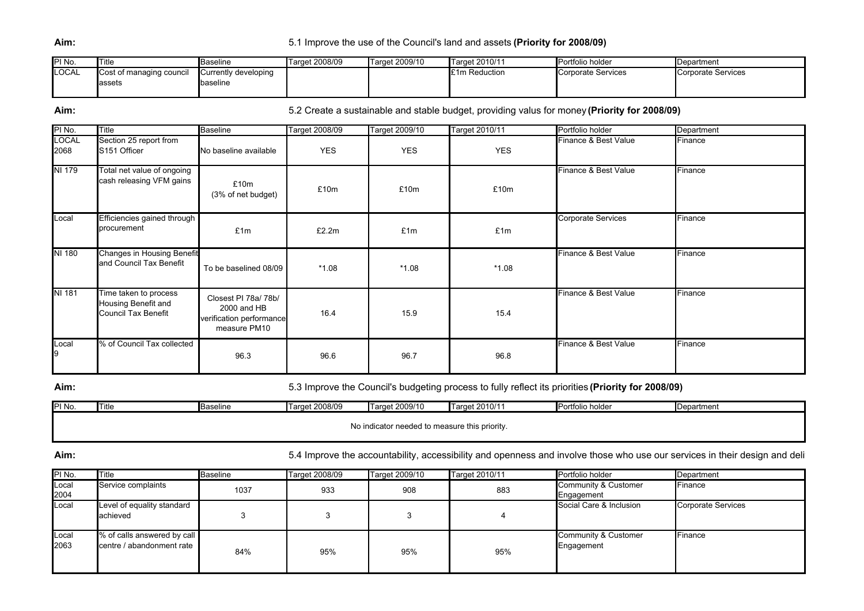### Aim: **Alterative 2008/09** and the use of the Council's land and assets (**Priority for 2008/09**)

| IPI No. | Title                    | <b>Baseline</b>      | Target 2008/09 | Target 2009/10 | Target 2010/11 | Portfolio holder   | <b>IDepartment</b> |
|---------|--------------------------|----------------------|----------------|----------------|----------------|--------------------|--------------------|
| LOCAL   | Cost of managing council | Currently developing |                |                | £1m Reduction  | Corporate Services | Corporate Services |
|         | assets                   | <b>I</b> baseline    |                |                |                |                    |                    |
|         |                          |                      |                |                |                |                    |                    |

Aim:

### 5.2 Create a sustainable and stable budget, providing valus for money (Priority for 2008/09)

| PI No.               | Title                                                               | <b>Baseline</b>                                                                 | Target 2008/09 | Target 2009/10 | Target 2010/11 | Portfolio holder          | Department |
|----------------------|---------------------------------------------------------------------|---------------------------------------------------------------------------------|----------------|----------------|----------------|---------------------------|------------|
| <b>LOCAL</b><br>2068 | Section 25 report from<br>S151 Officer                              | No baseline available                                                           | <b>YES</b>     | <b>YES</b>     | <b>YES</b>     | Finance & Best Value      | Finance    |
| NI 179               | Total net value of ongoing<br>cash releasing VFM gains              | £10m<br>(3% of net budget)                                                      | £10m           | £10m           | £10m           | Finance & Best Value      | Finance    |
| Local                | Efficiencies gained through<br>procurement                          | £1m                                                                             | £2.2m          | £1m            | £1m            | <b>Corporate Services</b> | Finance    |
| NI 180               | <b>Changes in Housing Benefit</b><br>and Council Tax Benefit        | To be baselined 08/09                                                           | $*1.08$        | $*1.08$        | $*1.08$        | Finance & Best Value      | Finance    |
| NI 181               | Time taken to process<br>Housing Benefit and<br>Council Tax Benefit | Closest PI 78a/ 78b/<br>2000 and HB<br>verification performance<br>measure PM10 | 16.4           | 15.9           | 15.4           | Finance & Best Value      | Finance    |
| Local<br>19          | % of Council Tax collected                                          | 96.3                                                                            | 96.6           | 96.7           | 96.8           | Finance & Best Value      | Finance    |

Aim: **Alterative 3.3** Improve the Council's budgeting process to fully reflect its priorities (Priority for 2008/09)

| IPI No. | Title                                         | <b>Baseline</b> | Target 2008/09 | Target 2009/10 | Target 2010/11 | Portfolio holder | Department |  |  |
|---------|-----------------------------------------------|-----------------|----------------|----------------|----------------|------------------|------------|--|--|
|         | No indicator needed to measure this priority. |                 |                |                |                |                  |            |  |  |
|         |                                               |                 |                |                |                |                  |            |  |  |

Aim: S.4 Improve the accountability, accessibility and openness and involve those who use our services in their design and delivery

| PI No.        | Title                                                    | Baseline | Target 2008/09 | Target 2009/10 | Target 2010/11 | Portfolio holder                   | Department         |
|---------------|----------------------------------------------------------|----------|----------------|----------------|----------------|------------------------------------|--------------------|
| Local<br>2004 | Service complaints                                       | 1037     | 933            | 908            | 883            | Community & Customer<br>Engagement | Finance            |
| Local         | Level of equality standard<br>achieved                   |          |                |                |                | Social Care & Inclusion            | Corporate Services |
| Local<br>2063 | % of calls answered by call<br>centre / abandonment rate | 84%      | 95%            | 95%            | 95%            | Community & Customer<br>Engagement | Finance            |